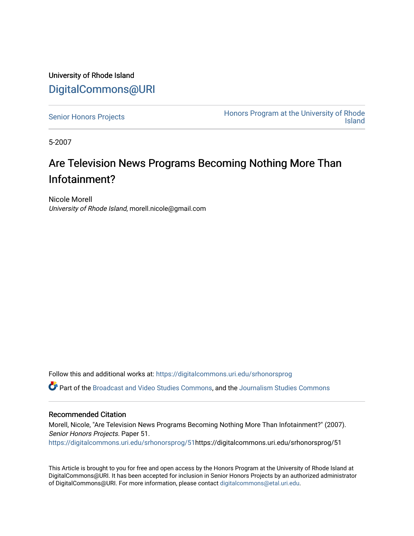University of Rhode Island [DigitalCommons@URI](https://digitalcommons.uri.edu/) 

[Senior Honors Projects](https://digitalcommons.uri.edu/srhonorsprog) **Honors Program at the University of Rhode**<br>Island [Island](https://digitalcommons.uri.edu/honors_prog) 

5-2007

## Are Television News Programs Becoming Nothing More Than Infotainment?

Nicole Morell University of Rhode Island, morell.nicole@gmail.com

Follow this and additional works at: [https://digitalcommons.uri.edu/srhonorsprog](https://digitalcommons.uri.edu/srhonorsprog?utm_source=digitalcommons.uri.edu%2Fsrhonorsprog%2F51&utm_medium=PDF&utm_campaign=PDFCoverPages)

Part of the [Broadcast and Video Studies Commons,](http://network.bepress.com/hgg/discipline/326?utm_source=digitalcommons.uri.edu%2Fsrhonorsprog%2F51&utm_medium=PDF&utm_campaign=PDFCoverPages) and the [Journalism Studies Commons](http://network.bepress.com/hgg/discipline/333?utm_source=digitalcommons.uri.edu%2Fsrhonorsprog%2F51&utm_medium=PDF&utm_campaign=PDFCoverPages)

## Recommended Citation

Morell, Nicole, "Are Television News Programs Becoming Nothing More Than Infotainment?" (2007). Senior Honors Projects. Paper 51.

[https://digitalcommons.uri.edu/srhonorsprog/51h](https://digitalcommons.uri.edu/srhonorsprog/51?utm_source=digitalcommons.uri.edu%2Fsrhonorsprog%2F51&utm_medium=PDF&utm_campaign=PDFCoverPages)ttps://digitalcommons.uri.edu/srhonorsprog/51

This Article is brought to you for free and open access by the Honors Program at the University of Rhode Island at DigitalCommons@URI. It has been accepted for inclusion in Senior Honors Projects by an authorized administrator of DigitalCommons@URI. For more information, please contact [digitalcommons@etal.uri.edu](mailto:digitalcommons@etal.uri.edu).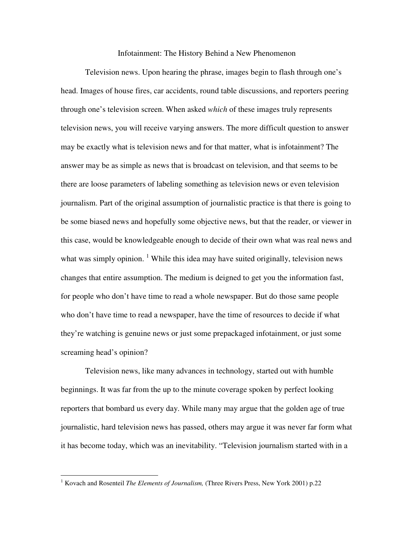## Infotainment: The History Behind a New Phenomenon

Television news. Upon hearing the phrase, images begin to flash through one's head. Images of house fires, car accidents, round table discussions, and reporters peering through one's television screen. When asked *which* of these images truly represents television news, you will receive varying answers. The more difficult question to answer may be exactly what is television news and for that matter, what is infotainment? The answer may be as simple as news that is broadcast on television, and that seems to be there are loose parameters of labeling something as television news or even television journalism. Part of the original assumption of journalistic practice is that there is going to be some biased news and hopefully some objective news, but that the reader, or viewer in this case, would be knowledgeable enough to decide of their own what was real news and what was simply opinion.  $<sup>1</sup>$  While this idea may have suited originally, television news</sup> changes that entire assumption. The medium is deigned to get you the information fast, for people who don't have time to read a whole newspaper. But do those same people who don't have time to read a newspaper, have the time of resources to decide if what they're watching is genuine news or just some prepackaged infotainment, or just some screaming head's opinion?

Television news, like many advances in technology, started out with humble beginnings. It was far from the up to the minute coverage spoken by perfect looking reporters that bombard us every day. While many may argue that the golden age of true journalistic, hard television news has passed, others may argue it was never far form what it has become today, which was an inevitability. "Television journalism started with in a

<sup>&</sup>lt;sup>1</sup> Kovach and Rosenteil *The Elements of Journalism*, (Three Rivers Press, New York 2001) p.22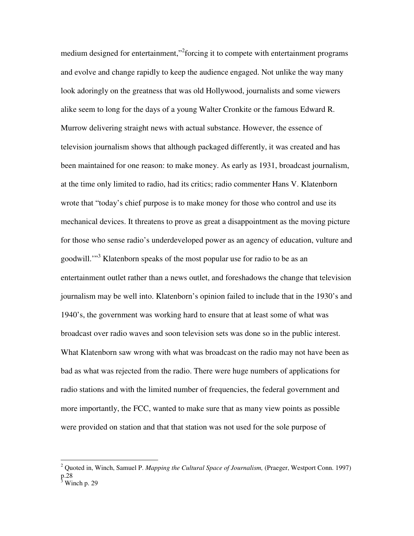medium designed for entertainment,"<sup>2</sup> forcing it to compete with entertainment programs and evolve and change rapidly to keep the audience engaged. Not unlike the way many look adoringly on the greatness that was old Hollywood, journalists and some viewers alike seem to long for the days of a young Walter Cronkite or the famous Edward R. Murrow delivering straight news with actual substance. However, the essence of television journalism shows that although packaged differently, it was created and has been maintained for one reason: to make money. As early as 1931, broadcast journalism, at the time only limited to radio, had its critics; radio commenter Hans V. Klatenborn wrote that "today's chief purpose is to make money for those who control and use its mechanical devices. It threatens to prove as great a disappointment as the moving picture for those who sense radio's underdeveloped power as an agency of education, vulture and goodwill."<sup>3</sup> Klatenborn speaks of the most popular use for radio to be as an entertainment outlet rather than a news outlet, and foreshadows the change that television journalism may be well into. Klatenborn's opinion failed to include that in the 1930's and 1940's, the government was working hard to ensure that at least some of what was broadcast over radio waves and soon television sets was done so in the public interest. What Klatenborn saw wrong with what was broadcast on the radio may not have been as bad as what was rejected from the radio. There were huge numbers of applications for radio stations and with the limited number of frequencies, the federal government and more importantly, the FCC, wanted to make sure that as many view points as possible were provided on station and that that station was not used for the sole purpose of

 2 Quoted in, Winch, Samuel P. *Mapping the Cultural Space of Journalism,* (Praeger, Westport Conn. 1997)  $p.28$ <br> $\frac{3}{3}$  W<sub>i</sub>

Winch p. 29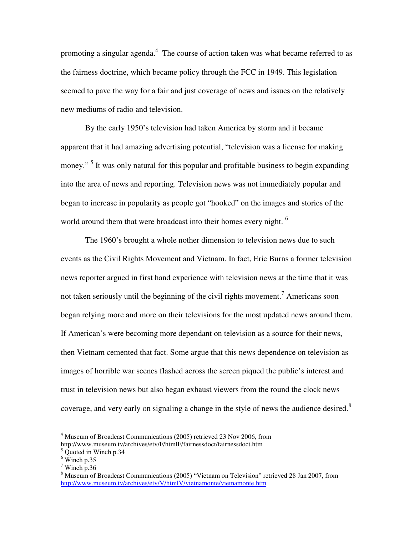promoting a singular agenda. $4\,$  The course of action taken was what became referred to as the fairness doctrine, which became policy through the FCC in 1949. This legislation seemed to pave the way for a fair and just coverage of news and issues on the relatively new mediums of radio and television.

 By the early 1950's television had taken America by storm and it became apparent that it had amazing advertising potential, "television was a license for making money."<sup>5</sup> It was only natural for this popular and profitable business to begin expanding into the area of news and reporting. Television news was not immediately popular and began to increase in popularity as people got "hooked" on the images and stories of the world around them that were broadcast into their homes every night. <sup>6</sup>

 The 1960's brought a whole nother dimension to television news due to such events as the Civil Rights Movement and Vietnam. In fact, Eric Burns a former television news reporter argued in first hand experience with television news at the time that it was not taken seriously until the beginning of the civil rights movement.<sup>7</sup> Americans soon began relying more and more on their televisions for the most updated news around them. If American's were becoming more dependant on television as a source for their news, then Vietnam cemented that fact. Some argue that this news dependence on television as images of horrible war scenes flashed across the screen piqued the public's interest and trust in television news but also began exhaust viewers from the round the clock news coverage, and very early on signaling a change in the style of news the audience desired.<sup>8</sup>

<u>.</u>

<sup>&</sup>lt;sup>4</sup> Museum of Broadcast Communications (2005) retrieved 23 Nov 2006, from http://www.museum.tv/archives/etv/F/htmlF/fairnessdoct/fairnessdoct.htm

<sup>5</sup> Quoted in Winch p.34

 $6$  Winch p.35

 $7$  Winch p.36

<sup>&</sup>lt;sup>8</sup> Museum of Broadcast Communications (2005) "Vietnam on Television" retrieved 28 Jan 2007, from http://www.museum.tv/archives/etv/V/htmlV/vietnamonte/vietnamonte.htm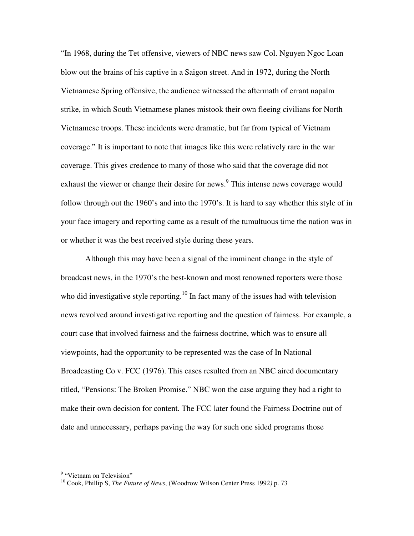"In 1968, during the Tet offensive, viewers of NBC news saw Col. Nguyen Ngoc Loan blow out the brains of his captive in a Saigon street. And in 1972, during the North Vietnamese Spring offensive, the audience witnessed the aftermath of errant napalm strike, in which South Vietnamese planes mistook their own fleeing civilians for North Vietnamese troops. These incidents were dramatic, but far from typical of Vietnam coverage." It is important to note that images like this were relatively rare in the war coverage. This gives credence to many of those who said that the coverage did not exhaust the viewer or change their desire for news.<sup>9</sup> This intense news coverage would follow through out the 1960's and into the 1970's. It is hard to say whether this style of in your face imagery and reporting came as a result of the tumultuous time the nation was in or whether it was the best received style during these years.

 Although this may have been a signal of the imminent change in the style of broadcast news, in the 1970's the best-known and most renowned reporters were those who did investigative style reporting.<sup>10</sup> In fact many of the issues had with television news revolved around investigative reporting and the question of fairness. For example, a court case that involved fairness and the fairness doctrine, which was to ensure all viewpoints, had the opportunity to be represented was the case of In National Broadcasting Co v. FCC (1976). This cases resulted from an NBC aired documentary titled, "Pensions: The Broken Promise." NBC won the case arguing they had a right to make their own decision for content. The FCC later found the Fairness Doctrine out of date and unnecessary, perhaps paving the way for such one sided programs those

<sup>&</sup>lt;sup>9</sup> "Vietnam on Television"

<sup>10</sup> Cook, Phillip S, *The Future of News*, (Woodrow Wilson Center Press 1992*)* p. 73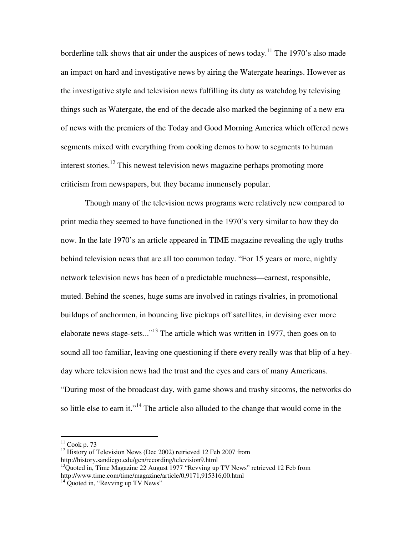borderline talk shows that air under the auspices of news today.<sup>11</sup> The 1970's also made an impact on hard and investigative news by airing the Watergate hearings. However as the investigative style and television news fulfilling its duty as watchdog by televising things such as Watergate, the end of the decade also marked the beginning of a new era of news with the premiers of the Today and Good Morning America which offered news segments mixed with everything from cooking demos to how to segments to human interest stories.<sup>12</sup> This newest television news magazine perhaps promoting more criticism from newspapers, but they became immensely popular.

Though many of the television news programs were relatively new compared to print media they seemed to have functioned in the 1970's very similar to how they do now. In the late 1970's an article appeared in TIME magazine revealing the ugly truths behind television news that are all too common today. "For 15 years or more, nightly network television news has been of a predictable muchness—earnest, responsible, muted. Behind the scenes, huge sums are involved in ratings rivalries, in promotional buildups of anchormen, in bouncing live pickups off satellites, in devising ever more elaborate news stage-sets..."<sup>13</sup> The article which was written in 1977, then goes on to sound all too familiar, leaving one questioning if there every really was that blip of a heyday where television news had the trust and the eyes and ears of many Americans. "During most of the broadcast day, with game shows and trashy sitcoms, the networks do so little else to earn it."<sup>14</sup> The article also alluded to the change that would come in the

-

 $11$  Cook p. 73

<sup>&</sup>lt;sup>12</sup> History of Television News (Dec 2002) retrieved 12 Feb 2007 from http://history.sandiego.edu/gen/recording/television9.html

<sup>&</sup>lt;sup>13</sup>Quoted in, Time Magazine 22 August 1977 "Revving up TV News" retrieved 12 Feb from http://www.time.com/time/magazine/article/0,9171,915316,00.html

 $14$  Quoted in, "Revving up TV News"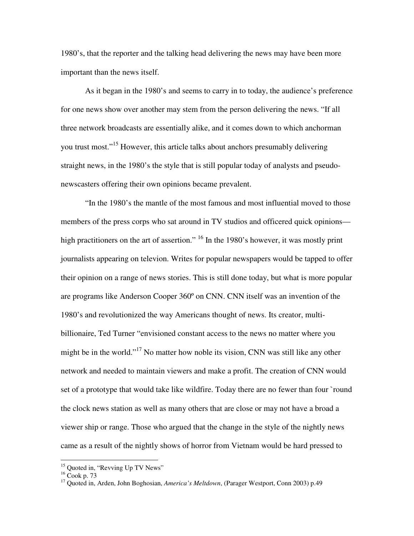1980's, that the reporter and the talking head delivering the news may have been more important than the news itself.

As it began in the 1980's and seems to carry in to today, the audience's preference for one news show over another may stem from the person delivering the news. "If all three network broadcasts are essentially alike, and it comes down to which anchorman you trust most."<sup>15</sup> However, this article talks about anchors presumably delivering straight news, in the 1980's the style that is still popular today of analysts and pseudonewscasters offering their own opinions became prevalent.

"In the 1980's the mantle of the most famous and most influential moved to those members of the press corps who sat around in TV studios and officered quick opinions high practitioners on the art of assertion." <sup>16</sup> In the 1980's however, it was mostly print journalists appearing on televion. Writes for popular newspapers would be tapped to offer their opinion on a range of news stories. This is still done today, but what is more popular are programs like Anderson Cooper 360º on CNN. CNN itself was an invention of the 1980's and revolutionized the way Americans thought of news. Its creator, multibillionaire, Ted Turner "envisioned constant access to the news no matter where you might be in the world."<sup>17</sup> No matter how noble its vision, CNN was still like any other network and needed to maintain viewers and make a profit. The creation of CNN would set of a prototype that would take like wildfire. Today there are no fewer than four `round the clock news station as well as many others that are close or may not have a broad a viewer ship or range. Those who argued that the change in the style of the nightly news came as a result of the nightly shows of horror from Vietnam would be hard pressed to

<sup>&</sup>lt;sup>15</sup> Quoted in, "Revving Up TV News"

 $16$  Cook p. 73

<sup>&</sup>lt;sup>17</sup> Quoted in, Arden, John Boghosian, *America's Meltdown*, (Parager Westport, Conn 2003) p.49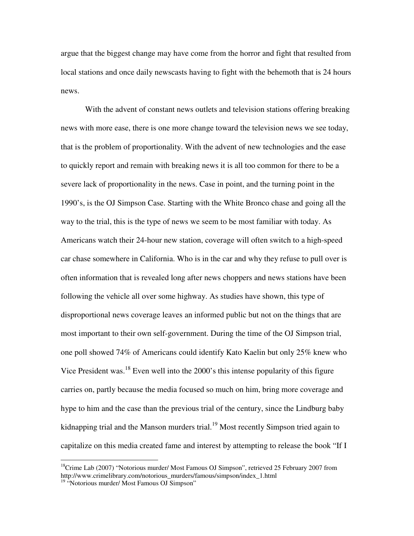argue that the biggest change may have come from the horror and fight that resulted from local stations and once daily newscasts having to fight with the behemoth that is 24 hours news.

With the advent of constant news outlets and television stations offering breaking news with more ease, there is one more change toward the television news we see today, that is the problem of proportionality. With the advent of new technologies and the ease to quickly report and remain with breaking news it is all too common for there to be a severe lack of proportionality in the news. Case in point, and the turning point in the 1990's, is the OJ Simpson Case. Starting with the White Bronco chase and going all the way to the trial, this is the type of news we seem to be most familiar with today. As Americans watch their 24-hour new station, coverage will often switch to a high-speed car chase somewhere in California. Who is in the car and why they refuse to pull over is often information that is revealed long after news choppers and news stations have been following the vehicle all over some highway. As studies have shown, this type of disproportional news coverage leaves an informed public but not on the things that are most important to their own self-government. During the time of the OJ Simpson trial, one poll showed 74% of Americans could identify Kato Kaelin but only 25% knew who Vice President was.<sup>18</sup> Even well into the 2000's this intense popularity of this figure carries on, partly because the media focused so much on him, bring more coverage and hype to him and the case than the previous trial of the century, since the Lindburg baby kidnapping trial and the Manson murders trial.<sup>19</sup> Most recently Simpson tried again to capitalize on this media created fame and interest by attempting to release the book "If I

 $18$ Crime Lab (2007) "Notorious murder/ Most Famous OJ Simpson", retrieved 25 February 2007 from http://www.crimelibrary.com/notorious\_murders/famous/simpson/index\_1.html

<sup>&</sup>lt;sup>19</sup> "Notorious murder/ Most Famous OJ Simpson"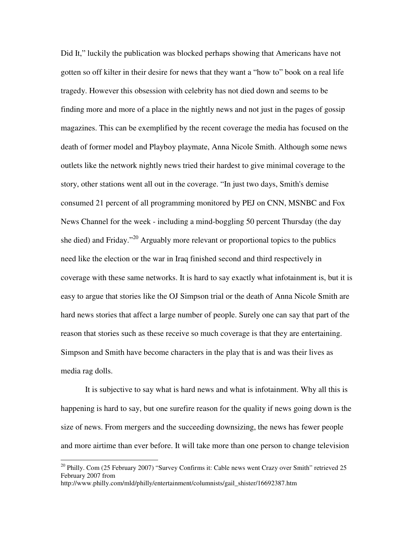Did It," luckily the publication was blocked perhaps showing that Americans have not gotten so off kilter in their desire for news that they want a "how to" book on a real life tragedy. However this obsession with celebrity has not died down and seems to be finding more and more of a place in the nightly news and not just in the pages of gossip magazines. This can be exemplified by the recent coverage the media has focused on the death of former model and Playboy playmate, Anna Nicole Smith. Although some news outlets like the network nightly news tried their hardest to give minimal coverage to the story, other stations went all out in the coverage. "In just two days, Smith's demise consumed 21 percent of all programming monitored by PEJ on CNN, MSNBC and Fox News Channel for the week - including a mind-boggling 50 percent Thursday (the day she died) and Friday."<sup>20</sup> Arguably more relevant or proportional topics to the publics need like the election or the war in Iraq finished second and third respectively in coverage with these same networks. It is hard to say exactly what infotainment is, but it is easy to argue that stories like the OJ Simpson trial or the death of Anna Nicole Smith are hard news stories that affect a large number of people. Surely one can say that part of the reason that stories such as these receive so much coverage is that they are entertaining. Simpson and Smith have become characters in the play that is and was their lives as media rag dolls.

It is subjective to say what is hard news and what is infotainment. Why all this is happening is hard to say, but one surefire reason for the quality if news going down is the size of news. From mergers and the succeeding downsizing, the news has fewer people and more airtime than ever before. It will take more than one person to change television

<sup>&</sup>lt;sup>20</sup> Philly. Com (25 February 2007) "Survey Confirms it: Cable news went Crazy over Smith" retrieved 25 February 2007 from http://www.philly.com/mld/philly/entertainment/columnists/gail\_shister/16692387.htm